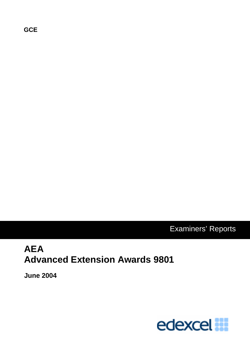**GCE**

Examiners' Reports

# **AEA Advanced Extension Awards 9801**

**June 2004** 

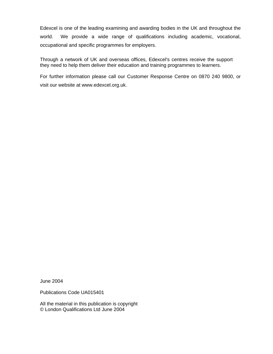Edexcel is one of the leading examining and awarding bodies in the UK and throughout the world. We provide a wide range of qualifications including academic, vocational, occupational and specific programmes for employers.

Through a network of UK and overseas offices, Edexcel's centres receive the support they need to help them deliver their education and training programmes to learners.

For further information please call our Customer Response Centre on 0870 240 9800, or visit our website at www.edexcel.org.uk.

June 2004

Publications Code UA015401

All the material in this publication is copyright © London Qualifications Ltd June 2004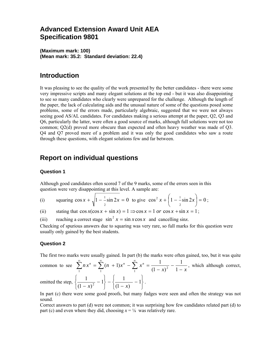## **Advanced Extension Award Unit AEA Specification 9801**

**(Maximum mark: 100) (Mean mark: 35.2: Standard deviation: 22.4)** 

## **Introduction**

It was pleasing to see the quality of the work presented by the better candidates - there were some very impressive scripts and many elegant solutions at the top end - but it was also disappointing to see so many candidates who clearly were unprepared for the challenge. Although the length of the paper, the lack of calculating aids and the unusual nature of some of the questions posed some problems, some of the errors made, particularly algebraic, suggested that we were not always seeing good AS/AL candidates. For candidates making a serious attempt at the paper, Q2, Q3 and Q6, particularly the latter, were often a good source of marks, although full solutions were not too common; Q2(d) proved more obscure than expected and often heavy weather was made of Q3. Q4 and Q7 proved more of a problem and it was only the good candidates who saw a route through these questions, with elegant solutions few and far between.

## **Report on individual questions**

#### **Question 1**

Although good candidates often scored 7 of the 9 marks, some of the errors seen in this question were very disappointing at this level. A sample are:

(i) squaring 
$$
\cos x + \sqrt{1 - \frac{1}{2} \sin 2x} = 0
$$
 to give  $\cos^2 x + \left(1 - \frac{1}{2} \sin 2x\right) = 0$ ;

(ii) stating that  $\cos x(\cos x + \sin x) = 1 \Rightarrow \cos x = 1$  *or*  $\cos x + \sin x = 1$ ;

(iii) reaching a correct stage  $\sin^2 x = \sin x \cos x$  and cancelling sinx.

Checking of spurious answers due to squaring was very rare, so full marks for this question were usually only gained by the best students.

### **Question 2**

The first two marks were usually gained. In part (b) the marks were often gained, too, but it was quite

common to see  $(x)^2$  1 - *x*  $\sum_{1}^{\infty} n x^{n} = \sum_{1}^{\infty} (n+1) x^{n} - \sum_{1}^{\infty} x^{n} = \frac{1}{(1-x)^{2}} - \frac{1}{1-x}$ 1 1  $\sum_{1}^{\infty} n x^{n} = \sum_{1}^{\infty} (n + 1) x^{n} - \sum_{1}^{\infty} x^{n} = \frac{1}{(1 - x)^{2}}$ , which although correct,  $\vert$  $\vert$  $1 - \frac{1}{2}$ 1

omitted the step, ⎭  $\left\{ \right.$  $\overline{a}$  $\frac{1}{(1-x)}$  –  $\left\{ \right.$  $\overline{a}$  $\left\{\frac{1}{(1-x)^2}-1\right\}-\left\{\frac{1}{(1-x)}-1\right\}$  $(1 - x)$  $\overline{(x)}^2 - 1$  -  $\left\{ \frac{1}{(1-x)} - 1 \right\}$ .

In part (c) there were some good proofs, but many fudges were seen and often the strategy was not sound.

Correct answers to part (d) were not common; it was surprising how few candidates related part (d) to part (c) and even where they did, choosing  $x = \frac{1}{8}$  was relatively rare.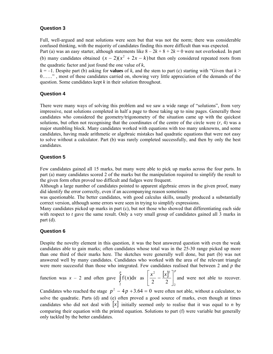#### **Question 3**

Full, well-argued and neat solutions were seen but that was not the norm; there was considerable confused thinking, with the majority of candidates finding this more difficult than was expected.

Part (a) was an easy starter, although statements like  $8 - 2k + 8 + 2k = 0$  were not overlooked. In part (b) many candidates obtained  $(x - 2)(x^2 + 2x - k)$  but then only considered repeated roots from the quadratic factor and just found the one value of *k*,

 $k = -1$ . Despite part (b) asking for **values** of *k*, and the stem to part (c) starting with "Given that  $k > 0$ 0……" , most of these candidates carried on, showing very little appreciation of the demands of the question. Some candidates kept *k* in their solution throughout.

### **Question 4**

There were many ways of solving this problem and we saw a wide range of "solutions", from very impressive, neat solutions completed in half a page to those taking up to nine pages. Generally those candidates who considered the geometry/trigonometry of the situation came up with the quickest solutions, but often not recognising that the coordinates of the centre of the circle were  $(r, 4)$  was a major stumbling block. Many candidates worked with equations with too many unknowns, and some candidates, having made arithmetic or algebraic mistakes had quadratic equations that were not easy to solve without a calculator. Part (b) was rarely completed successfully, and then by only the best candidates.

#### **Question 5**

Few candidates gained all 15 marks, but many were able to pick up marks across the four parts. In part (a) many candidates scored 2 of the marks but the manipulation required to simplify the result to the given form often proved too difficult and fudges were frequent.

Although a large number of candidates pointed to apparent algebraic errors in the given proof, many did identify the error correctly, even if an accompanying reason sometimes

was questionable. The better candidates, with good calculus skills, usually produced a substantially correct version, although some errors were seen in trying to simplify expressions.

Many candidates picked up marks in part (c), but not those who showed that differentiating each side with respect to *t* gave the same result. Only a very small group of candidates gained all 3 marks in part (d).

#### **Question 6**

Despite the novelty element in this question, it was the best answered question with even the weak candidates able to gain marks; often candidates whose total was in the 25-30 range picked up more than one third of their marks here. The sketches were generally well done, but part (b) was not answered well by many candidates. Candidates who worked with the area of the relevant triangle were more successful than those who integrated. Few candidates realised that between 2 and *p* the

function was  $x - 2$  and often gave  $\int f(x) dx$  as *p x x* 2  $f(x)dx$  as  $\left[\frac{x^2}{2} - \frac{[x]^2}{2}\right]^p$ 2 2  $\lceil \cdot \cdot \rceil^2$  $\left[\frac{1}{2} - \frac{1}{2}\right]$  $\left|\frac{x^2}{2}-\frac{[x]^2}{2}\right|$ ⎣  $\left|\frac{x^2}{\epsilon} - \frac{x^2}{\epsilon}\right|^p$  and were not able to recover.

Candidates who reached the stage  $p^2 - 4p + 3.64 = 0$  were often not able, without a calculator, to solve the quadratic. Parts (d) and (e) often proved a good source of marks, even though at times candidates who did not deal with  $|x|$  initially seemed only to realise that it was equal to *n* by comparing their equation with the printed equation. Solutions to part (f) were variable but generally only tackled by the better candidates.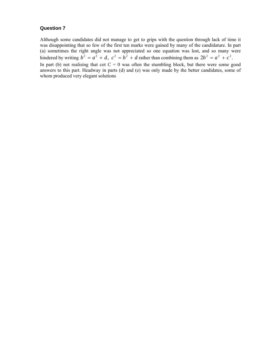#### **Question 7**

Although some candidates did not manage to get to grips with the question through lack of time it was disappointing that so few of the first ten marks were gained by many of the candidature. In part (a) sometimes the right angle was not appreciated so one equation was lost, and so many were hindered by writing  $b^2 = a^2 + d$ ,  $c^2 = b^2 + d$  rather than combining them as  $2b^2 = a^2 + c^2$ . In part (b) not realising that cot  $C = 0$  was often the stumbling block, but there were some good answers to this part. Headway in parts (d) and (e) was only made by the better candidates, some of whom produced very elegant solutions